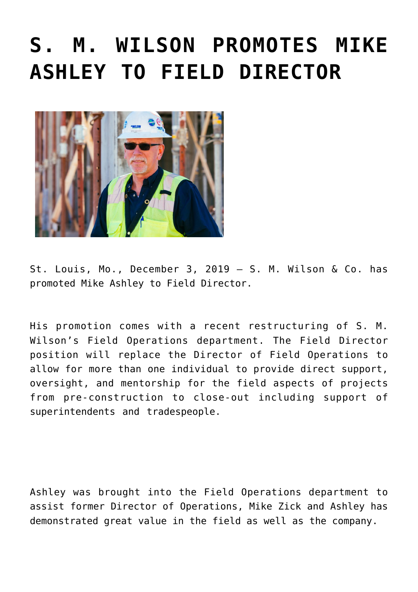## **[S. M. WILSON PROMOTES MIKE](https://smwilson.com/press-releases/s-m-wilson-promotes-mike-ashley-to-field-director) [ASHLEY TO FIELD DIRECTOR](https://smwilson.com/press-releases/s-m-wilson-promotes-mike-ashley-to-field-director)**



St. Louis, Mo., December 3, 2019 – S. M. Wilson & Co. has promoted Mike Ashley to Field Director.

His promotion comes with a recent restructuring of S. M. Wilson's Field Operations department. The Field Director position will replace the Director of Field Operations to allow for more than one individual to provide direct support, oversight, and mentorship for the field aspects of projects from pre-construction to close-out including support of superintendents and tradespeople.

Ashley was brought into the Field Operations department to assist former Director of Operations, Mike Zick and Ashley has demonstrated great value in the field as well as the company.